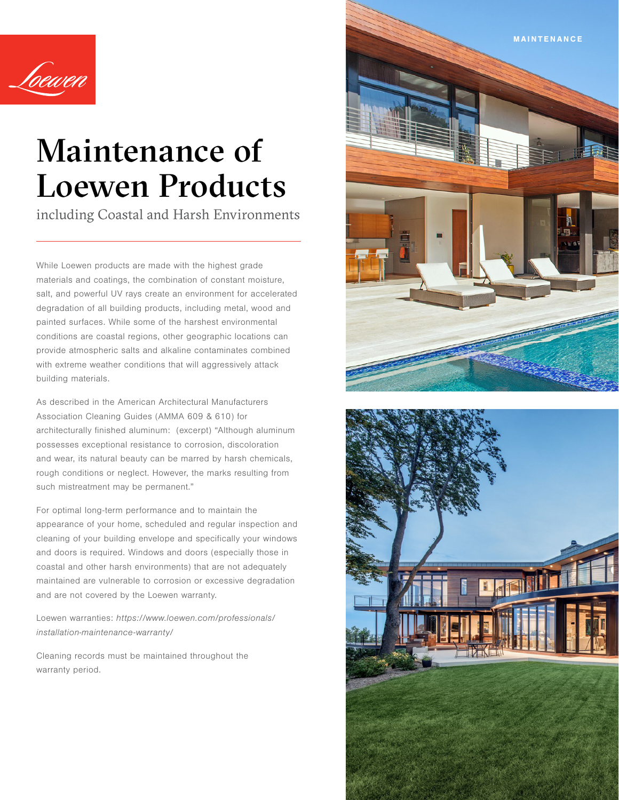

# Maintenance of Loewen Products

including Coastal and Harsh Environments

While Loewen products are made with the highest grade materials and coatings, the combination of constant moisture, salt, and powerful UV rays create an environment for accelerated degradation of all building products, including metal, wood and painted surfaces. While some of the harshest environmental conditions are coastal regions, other geographic locations can provide atmospheric salts and alkaline contaminates combined with extreme weather conditions that will aggressively attack building materials.

As described in the American Architectural Manufacturers Association Cleaning Guides (AMMA 609 & 610) for architecturally finished aluminum: (excerpt) "Although aluminum possesses exceptional resistance to corrosion, discoloration and wear, its natural beauty can be marred by harsh chemicals, rough conditions or neglect. However, the marks resulting from such mistreatment may be permanent."

For optimal long-term performance and to maintain the appearance of your home, scheduled and regular inspection and cleaning of your building envelope and specifically your windows and doors is required. Windows and doors (especially those in coastal and other harsh environments) that are not adequately maintained are vulnerable to corrosion or excessive degradation and are not covered by the Loewen warranty.

Loewen warranties: https://www.loewen.com/professionals/ installation-maintenance-warranty/

Cleaning records must be maintained throughout the warranty period.



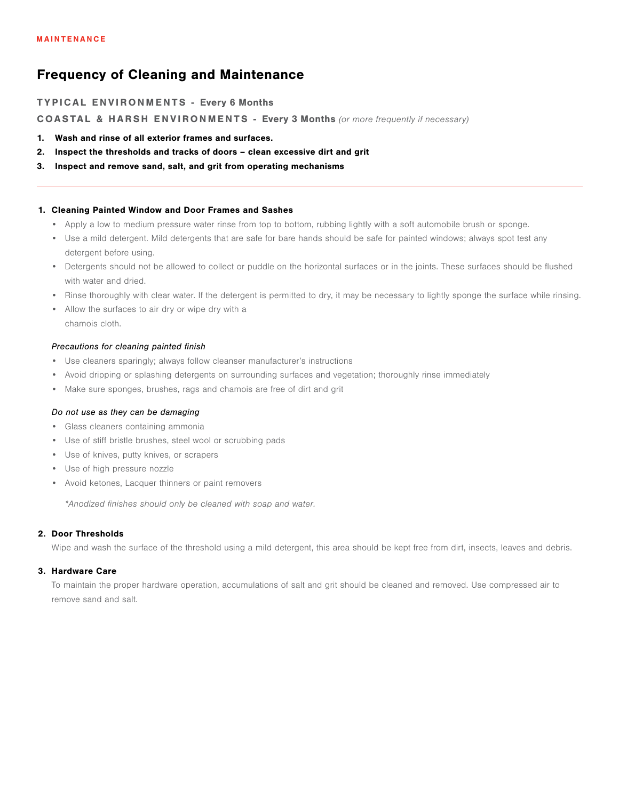# Frequency of Cleaning and Maintenance

## TYPICAL ENVIRONMENTS - Every 6 Months

COASTAL & HARSH ENVIRONMENTS - Every 3 Months (or more frequently if necessary)

- 1. Wash and rinse of all exterior frames and surfaces.
- 2. Inspect the thresholds and tracks of doors clean excessive dirt and grit
- 3. Inspect and remove sand, salt, and grit from operating mechanisms

## 1. Cleaning Painted Window and Door Frames and Sashes

- Apply a low to medium pressure water rinse from top to bottom, rubbing lightly with a soft automobile brush or sponge.
- Use a mild detergent. Mild detergents that are safe for bare hands should be safe for painted windows; always spot test any detergent before using.
- Detergents should not be allowed to collect or puddle on the horizontal surfaces or in the joints. These surfaces should be flushed with water and dried.
- Rinse thoroughly with clear water. If the detergent is permitted to dry, it may be necessary to lightly sponge the surface while rinsing.
- Allow the surfaces to air dry or wipe dry with a chamois cloth.

## *Precautions for cleaning painted finish*

- Use cleaners sparingly; always follow cleanser manufacturer's instructions
- Avoid dripping or splashing detergents on surrounding surfaces and vegetation; thoroughly rinse immediately
- Make sure sponges, brushes, rags and chamois are free of dirt and grit

#### *Do not use as they can be damaging*

- Glass cleaners containing ammonia
- Use of stiff bristle brushes, steel wool or scrubbing pads
- Use of knives, putty knives, or scrapers
- Use of high pressure nozzle
- Avoid ketones, Lacquer thinners or paint removers

\*Anodized finishes should only be cleaned with soap and water.

# 2. Door Thresholds

Wipe and wash the surface of the threshold using a mild detergent, this area should be kept free from dirt, insects, leaves and debris.

#### 3. Hardware Care

To maintain the proper hardware operation, accumulations of salt and grit should be cleaned and removed. Use compressed air to remove sand and salt.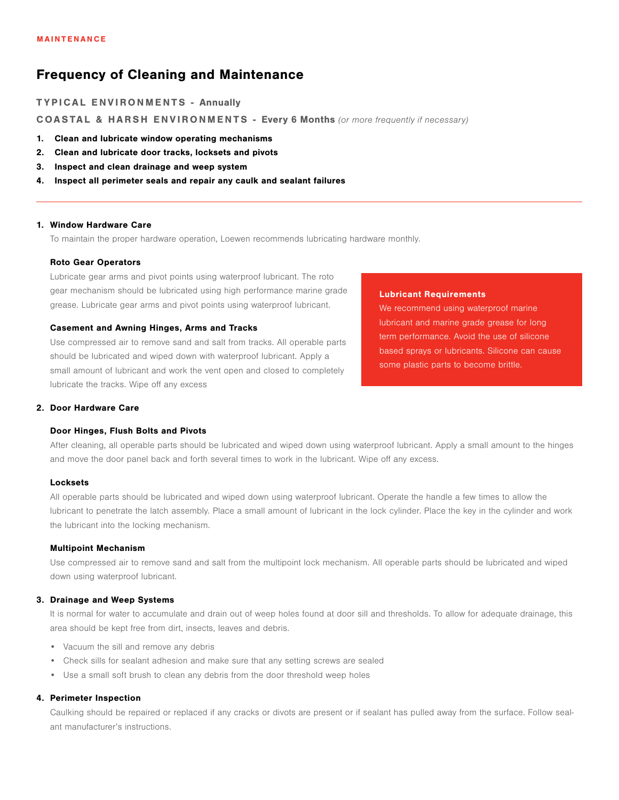# Frequency of Cleaning and Maintenance

TYPICAL ENVIRONMENTS - Annually

COASTAL & HARSH ENVIRONMENTS - Every 6 Months (or more frequently if necessary)

- 1. Clean and lubricate window operating mechanisms
- 2. Clean and lubricate door tracks, locksets and pivots
- 3. Inspect and clean drainage and weep system
- 4. Inspect all perimeter seals and repair any caulk and sealant failures

#### 1. Window Hardware Care

To maintain the proper hardware operation, Loewen recommends lubricating hardware monthly.

#### Roto Gear Operators

Lubricate gear arms and pivot points using waterproof lubricant. The roto gear mechanism should be lubricated using high performance marine grade grease. Lubricate gear arms and pivot points using waterproof lubricant.

## Casement and Awning Hinges, Arms and Tracks

Use compressed air to remove sand and salt from tracks. All operable parts should be lubricated and wiped down with waterproof lubricant. Apply a small amount of lubricant and work the vent open and closed to completely lubricate the tracks. Wipe off any excess

#### 2. Door Hardware Care

#### Door Hinges, Flush Bolts and Pivots

# Lubricant Requirements We recommend using waterproof marine

lubricant and marine grade grease for long term performance. Avoid the use of silicone based sprays or lubricants. Silicone can cause some plastic parts to become brittle.

After cleaning, all operable parts should be lubricated and wiped down using waterproof lubricant. Apply a small amount to the hinges and move the door panel back and forth several times to work in the lubricant. Wipe off any excess.

#### **Locksets**

All operable parts should be lubricated and wiped down using waterproof lubricant. Operate the handle a few times to allow the lubricant to penetrate the latch assembly. Place a small amount of lubricant in the lock cylinder. Place the key in the cylinder and work the lubricant into the locking mechanism.

#### Multipoint Mechanism

Use compressed air to remove sand and salt from the multipoint lock mechanism. All operable parts should be lubricated and wiped down using waterproof lubricant.

## 3. Drainage and Weep Systems

It is normal for water to accumulate and drain out of weep holes found at door sill and thresholds. To allow for adequate drainage, this area should be kept free from dirt, insects, leaves and debris.

- Vacuum the sill and remove any debris
- Check sills for sealant adhesion and make sure that any setting screws are sealed
- Use a small soft brush to clean any debris from the door threshold weep holes

#### 4. Perimeter Inspection

Caulking should be repaired or replaced if any cracks or divots are present or if sealant has pulled away from the surface. Follow sealant manufacturer's instructions.